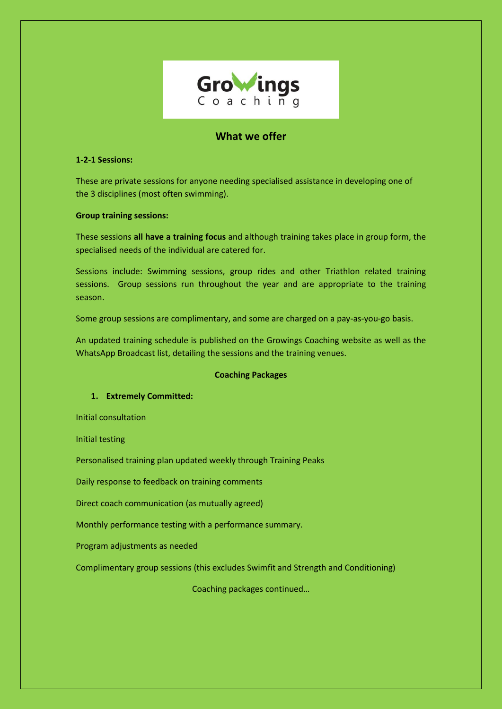

# **What we offer**

# **1-2-1 Sessions:**

These are private sessions for anyone needing specialised assistance in developing one of the 3 disciplines (most often swimming).

### **Group training sessions:**

These sessions **all have a training focus** and although training takes place in group form, the specialised needs of the individual are catered for.

Sessions include: Swimming sessions, group rides and other Triathlon related training sessions. Group sessions run throughout the year and are appropriate to the training season.

Some group sessions are complimentary, and some are charged on a pay-as-you-go basis.

An updated training schedule is published on the Growings Coaching website as well as the WhatsApp Broadcast list, detailing the sessions and the training venues.

### **Coaching Packages**

# **1. Extremely Committed:**

Initial consultation

Initial testing

Personalised training plan updated weekly through Training Peaks

Daily response to feedback on training comments

Direct coach communication (as mutually agreed)

Monthly performance testing with a performance summary.

Program adjustments as needed

Complimentary group sessions (this excludes Swimfit and Strength and Conditioning)

Coaching packages continued…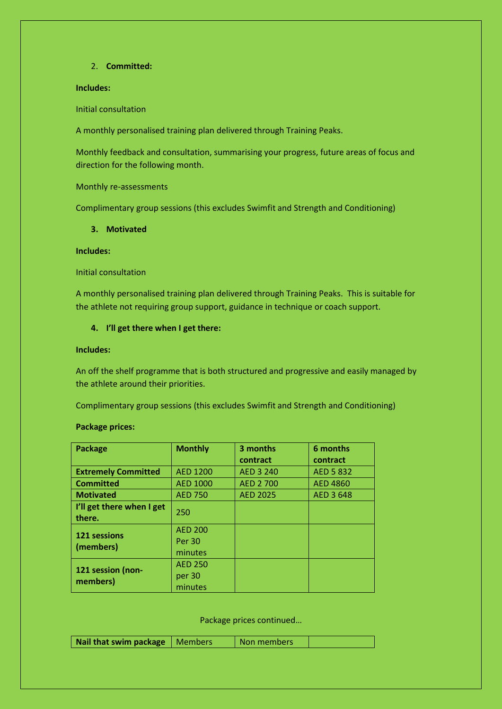### 2. **Committed:**

# **Includes:**

Initial consultation

A monthly personalised training plan delivered through Training Peaks.

Monthly feedback and consultation, summarising your progress, future areas of focus and direction for the following month.

Monthly re-assessments

Complimentary group sessions (this excludes Swimfit and Strength and Conditioning)

#### **3. Motivated**

### **Includes:**

Initial consultation

A monthly personalised training plan delivered through Training Peaks. This is suitable for the athlete not requiring group support, guidance in technique or coach support.

### **4. I'll get there when I get there:**

**Includes:** 

An off the shelf programme that is both structured and progressive and easily managed by the athlete around their priorities.

Complimentary group sessions (this excludes Swimfit and Strength and Conditioning)

#### **Package prices:**

| <b>Package</b>                      | <b>Monthly</b>                             | 3 months        | 6 months        |
|-------------------------------------|--------------------------------------------|-----------------|-----------------|
|                                     |                                            | contract        | contract        |
| <b>Extremely Committed</b>          | <b>AED 1200</b>                            | AED 3 240       | AED 5 832       |
| <b>Committed</b>                    | <b>AED 1000</b>                            | AED 2 700       | <b>AED 4860</b> |
| <b>Motivated</b>                    | <b>AED 750</b>                             | <b>AED 2025</b> | AED 3 648       |
| I'll get there when I get<br>there. | 250                                        |                 |                 |
| 121 sessions<br>(members)           | <b>AED 200</b><br><b>Per 30</b><br>minutes |                 |                 |
| 121 session (non-<br>members)       | <b>AED 250</b><br>per 30<br>minutes        |                 |                 |

Package prices continued…

| Nail that swim package   Members |  | Non members |  |
|----------------------------------|--|-------------|--|
|----------------------------------|--|-------------|--|